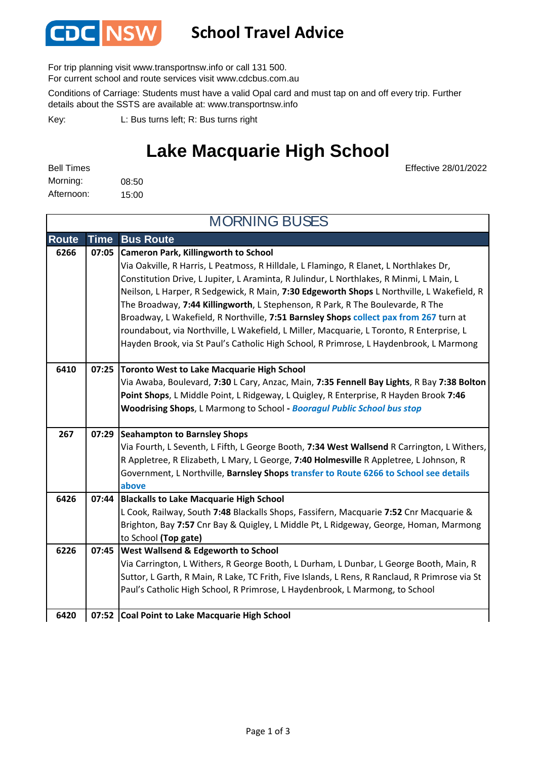

## **School Travel Advice**

For trip planning visit www.transportnsw.info or call 131 500.

For current school and route services visit www.cdcbus.com.au

Conditions of Carriage: Students must have a valid Opal card and must tap on and off every trip. Further details about the SSTS are available at: www.transportnsw.info

L: Bus turns left; R: Bus turns right Key:

## **Lake Macquarie High School**

Effective 28/01/2022

| <b>Bell Times</b> |       |
|-------------------|-------|
| Morning:          | 08:50 |
| Afternoon:        | 15:00 |

**Route Time Bus Route Cameron Park, Killingworth to School** Via Oakville, R Harris, L Peatmoss, R Hilldale, L Flamingo, R Elanet, L Northlakes Dr, Constitution Drive, L Jupiter, L Araminta, R Julindur, L Northlakes, R Minmi, L Main, L Neilson, L Harper, R Sedgewick, R Main, **7:30 Edgeworth Shops** L Northville, L Wakefield, R The Broadway, **7:44 Killingworth**, L Stephenson, R Park, R The Boulevarde, R The Broadway, L Wakefield, R Northville, **7:51 Barnsley Shops collect pax from 267** turn at roundabout, via Northville, L Wakefield, L Miller, Macquarie, L Toronto, R Enterprise, L Hayden Brook, via St Paul's Catholic High School, R Primrose, L Haydenbrook, L Marmong **Toronto West to Lake Macquarie High School** Via Awaba, Boulevard, **7:30** L Cary, Anzac, Main, **7:35 Fennell Bay Lights**, R Bay **7:38 Bolton Point Shops**, L Middle Point, L Ridgeway, L Quigley, R Enterprise, R Hayden Brook **7:46 Woodrising Shops**, L Marmong to School **-** *Booragul Public School bus stop* **Seahampton to Barnsley Shops** Via Fourth, L Seventh, L Fifth, L George Booth, **7:34 West Wallsend** R Carrington, L Withers, R Appletree, R Elizabeth, L Mary, L George, **7:40 Holmesville** R Appletree, L Johnson, R Government, L Northville, **Barnsley Shops transfer to Route 6266 to School see details above Blackalls to Lake Macquarie High School 6426 07:44** L Cook, Railway, South **7:48** Blackalls Shops, Fassifern, Macquarie **7:52** Cnr Macquarie & Brighton, Bay **7:57** Cnr Bay & Quigley, L Middle Pt, L Ridgeway, George, Homan, Marmong to School **(Top gate) West Wallsend & Edgeworth to School** Via Carrington, L Withers, R George Booth, L Durham, L Dunbar, L George Booth, Main, R Suttor, L Garth, R Main, R Lake, TC Frith, Five Islands, L Rens, R Ranclaud, R Primrose via St Paul's Catholic High School, R Primrose, L Haydenbrook, L Marmong, to School **Coal Point to Lake Macquarie High School 6420 07:52 07:29** MORNING BUSES **6266 07:05 6226 07:45 267 6410 07:25**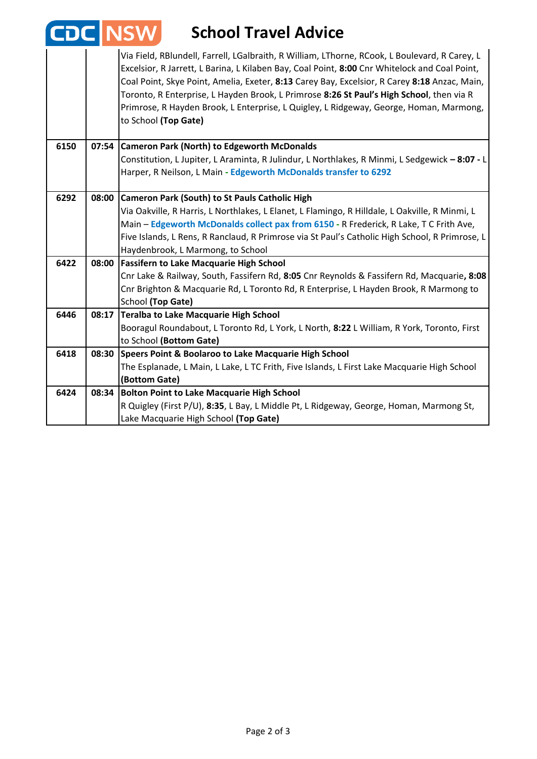|      | <b>EDC INSV</b> | <b>School Travel Advice</b>                                                                                                                                                                                                                                                                                                                                                                                                                                                                                  |
|------|-----------------|--------------------------------------------------------------------------------------------------------------------------------------------------------------------------------------------------------------------------------------------------------------------------------------------------------------------------------------------------------------------------------------------------------------------------------------------------------------------------------------------------------------|
|      |                 | Via Field, RBlundell, Farrell, LGalbraith, R William, LThorne, RCook, L Boulevard, R Carey, L<br>Excelsior, R Jarrett, L Barina, L Kilaben Bay, Coal Point, 8:00 Cnr Whitelock and Coal Point,<br>Coal Point, Skye Point, Amelia, Exeter, 8:13 Carey Bay, Excelsior, R Carey 8:18 Anzac, Main,<br>Toronto, R Enterprise, L Hayden Brook, L Primrose 8:26 St Paul's High School, then via R<br>Primrose, R Hayden Brook, L Enterprise, L Quigley, L Ridgeway, George, Homan, Marmong,<br>to School (Top Gate) |
| 6150 |                 | 07:54 Cameron Park (North) to Edgeworth McDonalds                                                                                                                                                                                                                                                                                                                                                                                                                                                            |
|      |                 | Constitution, L Jupiter, L Araminta, R Julindur, L Northlakes, R Minmi, L Sedgewick - 8:07 - L                                                                                                                                                                                                                                                                                                                                                                                                               |
|      |                 | Harper, R Neilson, L Main - Edgeworth McDonalds transfer to 6292                                                                                                                                                                                                                                                                                                                                                                                                                                             |
| 6292 | 08:00           | Cameron Park (South) to St Pauls Catholic High                                                                                                                                                                                                                                                                                                                                                                                                                                                               |
|      |                 | Via Oakville, R Harris, L Northlakes, L Elanet, L Flamingo, R Hilldale, L Oakville, R Minmi, L                                                                                                                                                                                                                                                                                                                                                                                                               |
|      |                 | Main - Edgeworth McDonalds collect pax from 6150 - R Frederick, R Lake, T C Frith Ave,                                                                                                                                                                                                                                                                                                                                                                                                                       |
|      |                 | Five Islands, L Rens, R Ranclaud, R Primrose via St Paul's Catholic High School, R Primrose, L                                                                                                                                                                                                                                                                                                                                                                                                               |
|      |                 | Haydenbrook, L Marmong, to School                                                                                                                                                                                                                                                                                                                                                                                                                                                                            |
| 6422 | 08:00           | <b>Fassifern to Lake Macquarie High School</b>                                                                                                                                                                                                                                                                                                                                                                                                                                                               |
|      |                 | Cnr Lake & Railway, South, Fassifern Rd, 8:05 Cnr Reynolds & Fassifern Rd, Macquarie, 8:08                                                                                                                                                                                                                                                                                                                                                                                                                   |
|      |                 | Cnr Brighton & Macquarie Rd, L Toronto Rd, R Enterprise, L Hayden Brook, R Marmong to                                                                                                                                                                                                                                                                                                                                                                                                                        |
|      |                 | School (Top Gate)                                                                                                                                                                                                                                                                                                                                                                                                                                                                                            |
| 6446 | 08:17           | Teralba to Lake Macquarie High School<br>Booragul Roundabout, L Toronto Rd, L York, L North, 8:22 L William, R York, Toronto, First                                                                                                                                                                                                                                                                                                                                                                          |
|      |                 | to School (Bottom Gate)                                                                                                                                                                                                                                                                                                                                                                                                                                                                                      |
| 6418 | 08:30           | Speers Point & Boolaroo to Lake Macquarie High School                                                                                                                                                                                                                                                                                                                                                                                                                                                        |
|      |                 | The Esplanade, L Main, L Lake, L TC Frith, Five Islands, L First Lake Macquarie High School                                                                                                                                                                                                                                                                                                                                                                                                                  |
|      |                 | (Bottom Gate)                                                                                                                                                                                                                                                                                                                                                                                                                                                                                                |
| 6424 | 08:34           | <b>Bolton Point to Lake Macquarie High School</b>                                                                                                                                                                                                                                                                                                                                                                                                                                                            |
|      |                 | R Quigley (First P/U), 8:35, L Bay, L Middle Pt, L Ridgeway, George, Homan, Marmong St,                                                                                                                                                                                                                                                                                                                                                                                                                      |
|      |                 | Lake Macquarie High School (Top Gate)                                                                                                                                                                                                                                                                                                                                                                                                                                                                        |